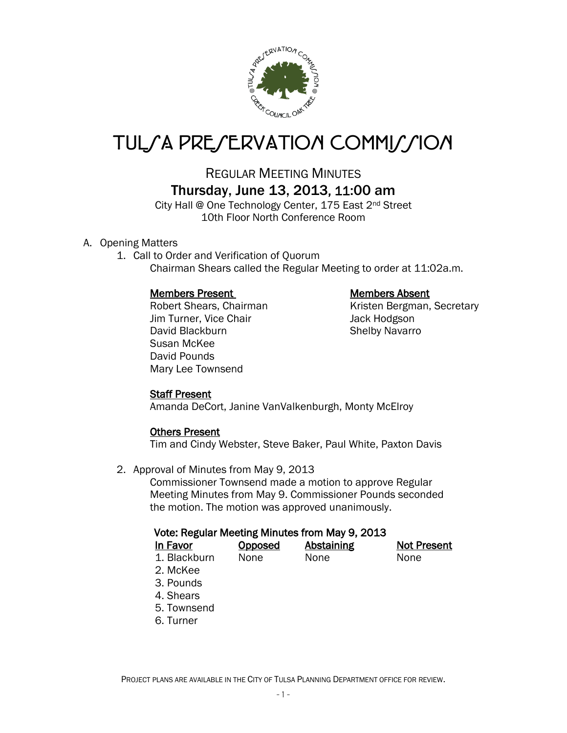

# TUL*SA PRESERVATION COMMISSION*

## REGULAR MEETING MINUTES Thursday, June 13, 2013, 11:00 am

City Hall @ One Technology Center, 175 East 2<sup>nd</sup> Street 10th Floor North Conference Room

### A. Opening Matters

1. Call to Order and Verification of Quorum Chairman Shears called the Regular Meeting to order at 11:02a.m.

#### Members Present Members Absent

Jim Turner, Vice Chair **Jack Hodgson** David Blackburn Shelby Navarro Susan McKee David Pounds Mary Lee Townsend

Robert Shears, Chairman Kristen Bergman, Secretary

#### Staff Present

Amanda DeCort, Janine VanValkenburgh, Monty McElroy

#### Others Present

Tim and Cindy Webster, Steve Baker, Paul White, Paxton Davis

2. Approval of Minutes from May 9, 2013

Commissioner Townsend made a motion to approve Regular Meeting Minutes from May 9. Commissioner Pounds seconded the motion. The motion was approved unanimously.

#### Vote: Regular Meeting Minutes from May 9, 2013

| In Favor                               | <b>Opposed</b> | Abstaining | <b>Not Present</b> |
|----------------------------------------|----------------|------------|--------------------|
| 1. Blackburn                           | None           | None       | None               |
| 2. McKee                               |                |            |                    |
| 3. Pounds                              |                |            |                    |
| $\mathbf{A}$ $\mathbf{A}$ $\mathbf{A}$ |                |            |                    |

- 4. Shears
- 5. Townsend
- 6. Turner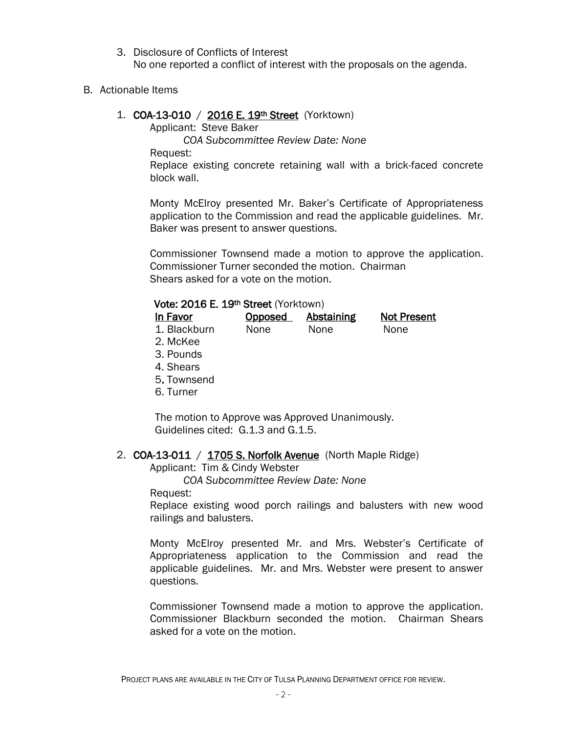3. Disclosure of Conflicts of Interest No one reported a conflict of interest with the proposals on the agenda.

B. Actionable Items

#### 1. **COA-13-010** / **2016 E. 19th Street** (Yorktown)

Applicant: Steve Baker

*COA Subcommittee Review Date: None*

Request:

Replace existing concrete retaining wall with a brick-faced concrete block wall.

Monty McElroy presented Mr. Baker's Certificate of Appropriateness application to the Commission and read the applicable guidelines. Mr. Baker was present to answer questions.

Commissioner Townsend made a motion to approve the application. Commissioner Turner seconded the motion. Chairman Shears asked for a vote on the motion.

#### Vote: 2016 E. 19th Street (Yorktown)

| In Favor     | Opposed     | Abstaining | <b>Not Present</b> |
|--------------|-------------|------------|--------------------|
| 1. Blackburn | <b>None</b> | None       | None               |
|              |             |            |                    |

- 2. McKee
- 3. Pounds
- 4. Shears
- 5. Townsend
- 6. Turner

The motion to Approve was Approved Unanimously. Guidelines cited: G.1.3 and G.1.5.

#### 2. COA-13-011 / 1705 S. Norfolk Avenue (North Maple Ridge)

Applicant: Tim & Cindy Webster

*COA Subcommittee Review Date: None*

Request:

Replace existing wood porch railings and balusters with new wood railings and balusters.

Monty McElroy presented Mr. and Mrs. Webster's Certificate of Appropriateness application to the Commission and read the applicable guidelines. Mr. and Mrs. Webster were present to answer questions.

Commissioner Townsend made a motion to approve the application. Commissioner Blackburn seconded the motion. Chairman Shears asked for a vote on the motion.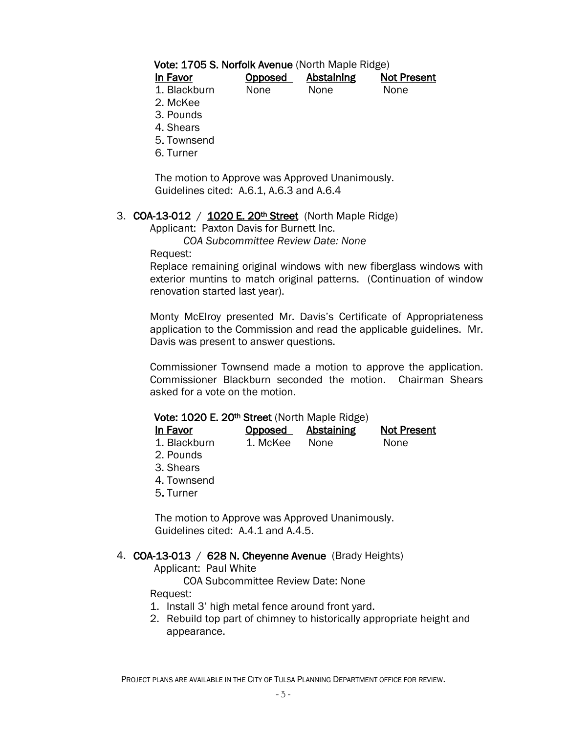#### Vote: 1705 S. Norfolk Avenue (North Maple Ridge)

| In Favor     | Opposed | Abstaining | <b>Not Present</b> |
|--------------|---------|------------|--------------------|
| 1. Blackburn | None    | None       | None               |

- 2. McKee
- 3. Pounds
- 4. Shears
- 5. Townsend
- 6. Turner

The motion to Approve was Approved Unanimously. Guidelines cited: A.6.1, A.6.3 and A.6.4

#### 3. COA-13-012 /  $1020 E. 20<sup>th</sup> Street$  (North Maple Ridge)

Applicant: Paxton Davis for Burnett Inc.

*COA Subcommittee Review Date: None*

Request:

Replace remaining original windows with new fiberglass windows with exterior muntins to match original patterns. (Continuation of window renovation started last year).

Monty McElroy presented Mr. Davis's Certificate of Appropriateness application to the Commission and read the applicable guidelines. Mr. Davis was present to answer questions.

Commissioner Townsend made a motion to approve the application. Commissioner Blackburn seconded the motion. Chairman Shears asked for a vote on the motion.

#### Vote: 1020 E. 20<sup>th</sup> Street (North Maple Ridge)

| In Favor     | Opposed  | Abstaining | <b>Not Present</b> |
|--------------|----------|------------|--------------------|
| 1. Blackburn | 1. McKee | None       | None               |
| 2. Pounds    |          |            |                    |

- 3. Shears
- 4. Townsend
- 5. Turner

The motion to Approve was Approved Unanimously. Guidelines cited: A.4.1 and A.4.5.

#### 4. COA-13-013 / 628 N. Cheyenne Avenue (Brady Heights)

Applicant: Paul White

COA Subcommittee Review Date: None

Request:

- 1. Install 3' high metal fence around front yard.
- 2. Rebuild top part of chimney to historically appropriate height and appearance.